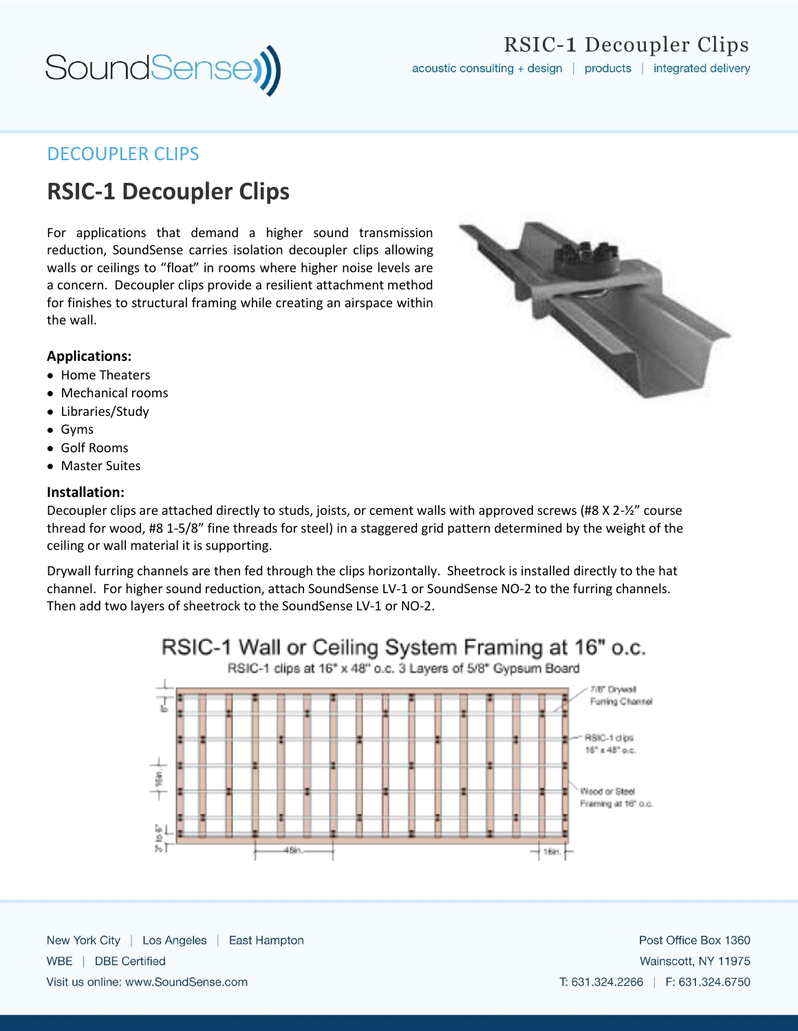

## DECOUPLER CLIPS

# **RSIC-1 Decoupler Clips**

For applications that demand a higher sound transmission reduction, SoundSense carries isolation decoupler clips allowing walls or ceilings to "float" in rooms where higher noise levels are a concern. Decoupler clips provide a resilient attachment method for finishes to structural framing while creating an airspace within the wall.

#### **Applications:**

- Home Theaters
- Mechanical rooms
- Libraries/Study
- Gyms
- Golf Rooms
- Master Suites

#### **Installation:**

Decoupler clips are attached directly to studs, joists, or cement walls with approved screws (#8 X 2-½" course thread for wood, #8 1-5/8" fine threads for steel) in a staggered grid pattern determined by the weight of the ceiling or wall material it is supporting.

Drywall furring channels are then fed through the clips horizontally. Sheetrock is installed directly to the hat channel. For higher sound reduction, attach SoundSense LV-1 or SoundSense NO-2 to the furring channels. Then add two layers of sheetrock to the SoundSense LV-1 or NO-2.



New York City | Los Angeles | East Hampton WBE | DBE Certified Visit us online: www.SoundSense.com